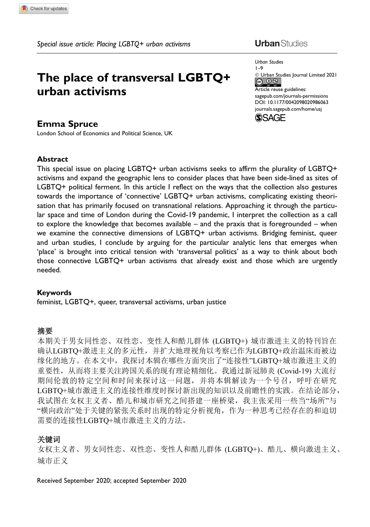# The place of transversal LGBTQ+ urban activisms

### Emma Spruce

London School of Economics and Political Science, UK

#### Abstract

This special issue on placing LGBTQ+ urban activisms seeks to affirm the plurality of LGBTQ+ activisms and expand the geographic lens to consider places that have been side-lined as sites of LGBTQ+ political ferment. In this article I reflect on the ways that the collection also gestures towards the importance of 'connective' LGBTQ+ urban activisms, complicating existing theorisation that has primarily focused on transnational relations. Approaching it through the particular space and time of London during the Covid-19 pandemic, I interpret the collection as a call to explore the knowledge that becomes available – and the praxis that is foregrounded – when we examine the connective dimensions of LGBTQ+ urban activisms. Bridging feminist, queer and urban studies, I conclude by arguing for the particular analytic lens that emerges when 'place' is brought into critical tension with 'transversal politics' as a way to think about both those connective LGBTQ+ urban activisms that already exist and those which are urgently needed.

#### Keywords

feminist, LGBTQ+, queer, transversal activisms, urban justice

#### ᪈㾱

本期关于男女同性恋、双性恋、变性人和酷儿群体 (LGBTQ+) 城市激进主义的特刊旨在 确认LGBTQ+激进主义的多元性,并扩大地理视角以考察已作为LGBTQ+政治温床而被边 缘化的地方。在本文中, 我探讨本辑在哪些方面突出了"连接性"LGBTO+城市激进主义的 重要性, 从而将主要关注跨国关系的现有理论精细化。我通过新冠肺炎 (Covid-19) 大流行 期间伦敦的特定空间和时间来探讨这一问题,并将本辑解读为一个号召,呼吁在研究 LGBTQ+城市激进主义的连接性维度时探讨新出现的知识以及前瞻性的实践。在结论部分, 我试图在女权主义者、酷儿和城市研究之间搭建一座桥梁,我主张采用一些当"场所"与 "横向政治"处于关键的紧张关系时出现的特定分析视角,作为一种思考已经存在的和迫切 需要的连接性LGBTO+城市激进主义的方法。

#### 关键词

女权主义者、男女同性恋、双性恋、变性人和酷儿群体(LGBTO+)、酷儿、横向激进主义、 城市正义

Received September 2020; accepted September 2020

## **Urban** Studies

Urban Studies 1–9 - Urban Studies Journal Limited 2021  $\circledcirc$ Article reuse guidelines: [sagepub.com/journals-permissions](https://uk.sagepub.com/en-gb/journals-permissions) [DOI: 10.1177/0042098020986063](https://doi.org/10.1177/0042098020986063) <journals.sagepub.com/home/usj>

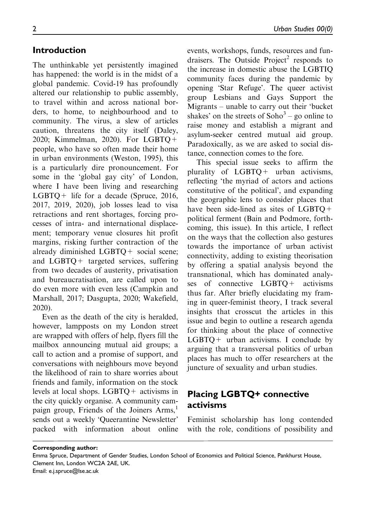## Introduction

The unthinkable yet persistently imagined has happened: the world is in the midst of a global pandemic. Covid-19 has profoundly altered our relationship to public assembly, to travel within and across national borders, to home, to neighbourhood and to community. The virus, a slew of articles caution, threatens the city itself (Daley, 2020; Kimmelman, 2020). For LGBTQ+ people, who have so often made their home in urban environments (Weston, 1995), this is a particularly dire pronouncement. For some in the 'global gay city' of London, where I have been living and researching LGBTQ+ life for a decade (Spruce, 2016, 2017, 2019, 2020), job losses lead to visa retractions and rent shortages, forcing processes of intra- and international displacement; temporary venue closures hit profit margins, risking further contraction of the already diminished LGBTQ+ social scene; and LGBTQ+ targeted services, suffering from two decades of austerity, privatisation and bureaucratisation, are called upon to do even more with even less (Campkin and Marshall, 2017; Dasgupta, 2020; Wakefield, 2020).

Even as the death of the city is heralded, however, lampposts on my London street are wrapped with offers of help, flyers fill the mailbox announcing mutual aid groups; a call to action and a promise of support, and conversations with neighbours move beyond the likelihood of rain to share worries about friends and family, information on the stock levels at local shops. LGBTQ+ activisms in the city quickly organise. A community campaign group, Friends of the Joiners Arms,<sup>1</sup> sends out a weekly 'Queerantine Newsletter' packed with information about online

events, workshops, funds, resources and fundraisers. The Outside Project<sup>2</sup> responds to the increase in domestic abuse the LGBTIQ community faces during the pandemic by opening 'Star Refuge'. The queer activist group Lesbians and Gays Support the Migrants – unable to carry out their 'bucket shakes' on the streets of  $Soho<sup>3</sup> - go online to$ raise money and establish a migrant and asylum-seeker centred mutual aid group. Paradoxically, as we are asked to social distance, connection comes to the fore.

This special issue seeks to affirm the plurality of LGBTQ+ urban activisms, reflecting 'the myriad of actors and actions constitutive of the political', and expanding the geographic lens to consider places that have been side-lined as sites of LGBTQ+ political ferment (Bain and Podmore, forthcoming, this issue). In this article, I reflect on the ways that the collection also gestures towards the importance of urban activist connectivity, adding to existing theorisation by offering a spatial analysis beyond the transnational, which has dominated analyses of connective LGBTQ+ activisms thus far. After briefly elucidating my framing in queer-feminist theory, I track several insights that crosscut the articles in this issue and begin to outline a research agenda for thinking about the place of connective  $LGBTQ$  + urban activisms. I conclude by arguing that a transversal politics of urban places has much to offer researchers at the juncture of sexuality and urban studies.

## Placing LGBTQ+ connective activisms

Feminist scholarship has long contended with the role, conditions of possibility and

Corresponding author:

Email: e.j.spruce@lse.ac.uk

Emma Spruce, Department of Gender Studies, London School of Economics and Political Science, Pankhurst House, Clement Inn, London WC2A 2AE, UK.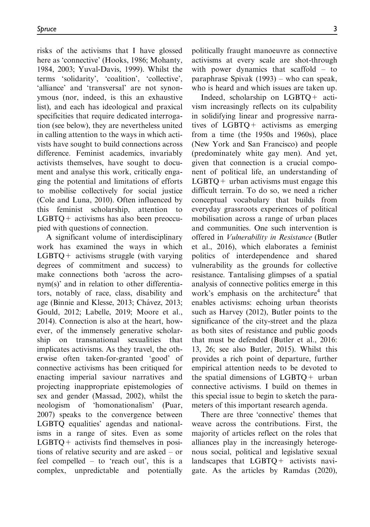risks of the activisms that I have glossed here as 'connective' (Hooks, 1986; Mohanty, 1984, 2003; Yuval-Davis, 1999). Whilst the terms 'solidarity', 'coalition', 'collective', 'alliance' and 'transversal' are not synonymous (nor, indeed, is this an exhaustive list), and each has ideological and praxical specificities that require dedicated interrogation (see below), they are nevertheless united in calling attention to the ways in which activists have sought to build connections across difference. Feminist academics, invariably activists themselves, have sought to document and analyse this work, critically engaging the potential and limitations of efforts to mobilise collectively for social justice (Cole and Luna, 2010). Often influenced by this feminist scholarship, attention to  $LGBTQ$  + activisms has also been preoccupied with questions of connection.

A significant volume of interdisciplinary work has examined the ways in which  $LGBTO+$  activisms struggle (with varying degrees of commitment and success) to make connections both 'across the acronym(s)' and in relation to other differentiators, notably of race, class, disability and age (Binnie and Klesse, 2013; Chávez, 2013; Gould, 2012; Labelle, 2019; Moore et al., 2014). Connection is also at the heart, however, of the immensely generative scholarship on transnational sexualities that implicates activisms. As they travel, the otherwise often taken-for-granted 'good' of connective activisms has been critiqued for enacting imperial saviour narratives and projecting inappropriate epistemologies of sex and gender (Massad, 2002), whilst the neologism of 'homonationalism' (Puar, 2007) speaks to the convergence between LGBTQ equalities' agendas and nationalisms in a range of sites. Even as some  $LGBTO+$  activists find themselves in positions of relative security and are asked – or feel compelled – to 'reach out', this is a complex, unpredictable and potentially

politically fraught manoeuvre as connective activisms at every scale are shot-through with power dynamics that scaffold – to paraphrase Spivak (1993) – who can speak, who is heard and which issues are taken up.

Indeed, scholarship on LGBTQ+ activism increasingly reflects on its culpability in solidifying linear and progressive narratives of LGBTQ+ activisms as emerging from a time (the 1950s and 1960s), place (New York and San Francisco) and people (predominately white gay men). And yet, given that connection is a crucial component of political life, an understanding of  $LGBTQ$  + urban activisms must engage this difficult terrain. To do so, we need a richer conceptual vocabulary that builds from everyday grassroots experiences of political mobilisation across a range of urban places and communities. One such intervention is offered in Vulnerability in Resistance (Butler et al., 2016), which elaborates a feminist politics of interdependence and shared vulnerability as the grounds for collective resistance. Tantalising glimpses of a spatial analysis of connective politics emerge in this work's emphasis on the architecture<sup>4</sup> that enables activisms: echoing urban theorists such as Harvey (2012), Butler points to the significance of the city-street and the plaza as both sites of resistance and public goods that must be defended (Butler et al., 2016: 13, 26; see also Butler, 2015). Whilst this provides a rich point of departure, further empirical attention needs to be devoted to the spatial dimensions of LGBTQ+ urban connective activisms. I build on themes in this special issue to begin to sketch the parameters of this important research agenda.

There are three 'connective' themes that weave across the contributions. First, the majority of articles reflect on the roles that alliances play in the increasingly heterogenous social, political and legislative sexual landscapes that LGBTQ+ activists navigate. As the articles by Ramdas (2020),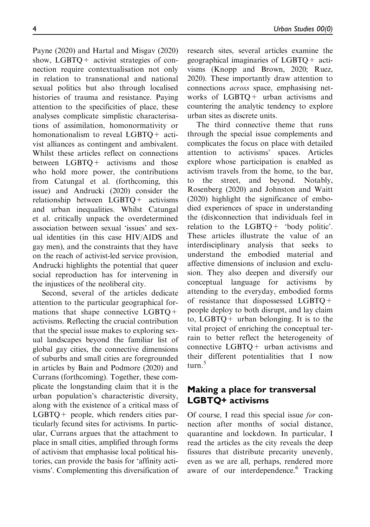Payne (2020) and Hartal and Misgav (2020) show, LGBTQ+ activist strategies of connection require contextualisation not only in relation to transnational and national sexual politics but also through localised histories of trauma and resistance. Paying attention to the specificities of place, these analyses complicate simplistic characterisations of assimilation, homonormativity or homonationalism to reveal LGBTQ+ activist alliances as contingent and ambivalent. Whilst these articles reflect on connections between LGBTQ+ activisms and those who hold more power, the contributions from Catungal et al. (forthcoming, this issue) and Andrucki (2020) consider the relationship between LGBTQ+ activisms and urban inequalities. Whilst Catungal et al. critically unpack the overdetermined association between sexual 'issues' and sexual identities (in this case HIV/AIDS and gay men), and the constraints that they have on the reach of activist-led service provision, Andrucki highlights the potential that queer social reproduction has for intervening in the injustices of the neoliberal city.

Second, several of the articles dedicate attention to the particular geographical formations that shape connective LGBTQ+ activisms. Reflecting the crucial contribution that the special issue makes to exploring sexual landscapes beyond the familiar list of global gay cities, the connective dimensions of suburbs and small cities are foregrounded in articles by Bain and Podmore (2020) and Currans (forthcoming). Together, these complicate the longstanding claim that it is the urban population's characteristic diversity, along with the existence of a critical mass of LGBTQ+ people, which renders cities particularly fecund sites for activisms. In particular, Currans argues that the attachment to place in small cities, amplified through forms of activism that emphasise local political histories, can provide the basis for 'affinity activisms'. Complementing this diversification of research sites, several articles examine the geographical imaginaries of LGBTQ+ activisms (Knopp and Brown, 2020; Ruez, 2020). These importantly draw attention to connections across space, emphasising networks of LGBTQ+ urban activisms and countering the analytic tendency to explore urban sites as discrete units.

The third connective theme that runs through the special issue complements and complicates the focus on place with detailed attention to activisms' spaces. Articles explore whose participation is enabled as activism travels from the home, to the bar, to the street, and beyond. Notably, Rosenberg (2020) and Johnston and Waitt (2020) highlight the significance of embodied experiences of space in understanding the (dis)connection that individuals feel in relation to the LGBTQ+ 'body politic'. These articles illustrate the value of an interdisciplinary analysis that seeks to understand the embodied material and affective dimensions of inclusion and exclusion. They also deepen and diversify our conceptual language for activisms by attending to the everyday, embodied forms of resistance that dispossessed LGBTQ+ people deploy to both disrupt, and lay claim to, LGBTQ+ urban belonging. It is to the vital project of enriching the conceptual terrain to better reflect the heterogeneity of connective LGBTQ+ urban activisms and their different potentialities that I now turn.<sup>5</sup>

## Making a place for transversal LGBTQ+ activisms

Of course, I read this special issue for connection after months of social distance, quarantine and lockdown. In particular, I read the articles as the city reveals the deep fissures that distribute precarity unevenly, even as we are all, perhaps, rendered more aware of our interdependence.<sup>6</sup> Tracking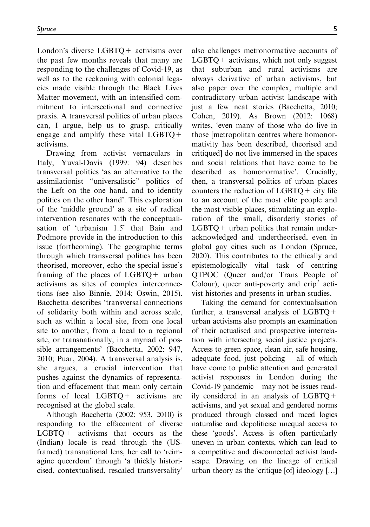London's diverse LGBTQ+ activisms over the past few months reveals that many are responding to the challenges of Covid-19, as well as to the reckoning with colonial legacies made visible through the Black Lives Matter movement, with an intensified commitment to intersectional and connective praxis. A transversal politics of urban places can, I argue, help us to grasp, critically engage and amplify these vital  $LGBTQ$ + activisms.

Drawing from activist vernaculars in Italy, Yuval-Davis (1999: 94) describes transversal politics 'as an alternative to the assimilationist ''universalistic'' politics of the Left on the one hand, and to identity politics on the other hand'. This exploration of the 'middle ground' as a site of radical intervention resonates with the conceptualisation of 'urbanism 1.5' that Bain and Podmore provide in the introduction to this issue (forthcoming). The geographic terms through which transversal politics has been theorised, moreover, echo the special issue's framing of the places of LGBTQ+ urban activisms as sites of complex interconnections (see also Binnie, 2014; Oswin, 2015). Bacchetta describes 'transversal connections of solidarity both within and across scale, such as within a local site, from one local site to another, from a local to a regional site, or transnationally, in a myriad of possible arrangements' (Bacchetta, 2002: 947, 2010; Puar, 2004). A transversal analysis is, she argues, a crucial intervention that pushes against the dynamics of representation and effacement that mean only certain forms of local LGBTQ+ activisms are recognised at the global scale.

Although Bacchetta (2002: 953, 2010) is responding to the effacement of diverse  $LGBTQ$  + activisms that occurs as the (Indian) locale is read through the (USframed) transnational lens, her call to 'reimagine queerdom' through 'a thickly historicised, contextualised, rescaled transversality' also challenges metronormative accounts of  $LGBTQ$  + activisms, which not only suggest that suburban and rural activisms are always derivative of urban activisms, but also paper over the complex, multiple and contradictory urban activist landscape with just a few neat stories (Bacchetta, 2010; Cohen, 2019). As Brown (2012: 1068) writes, 'even many of those who do live in those [metropolitan centres where homonormativity has been described, theorised and critiqued] do not live immersed in the spaces and social relations that have come to be described as homonormative'. Crucially, then, a transversal politics of urban places counters the reduction of  $LGBTQ +$  city life to an account of the most elite people and the most visible places, stimulating an exploration of the small, disorderly stories of  $LGBTO+$  urban politics that remain underacknowledged and undertheorised, even in global gay cities such as London (Spruce, 2020). This contributes to the ethically and epistemologically vital task of centring QTPOC (Queer and/or Trans People of Colour), queer anti-poverty and  $crip'$  activist histories and presents in urban studies.

Taking the demand for contextualisation further, a transversal analysis of LGBTQ+ urban activisms also prompts an examination of their actualised and prospective interrelation with intersecting social justice projects. Access to green space, clean air, safe housing, adequate food, just policing – all of which have come to public attention and generated activist responses in London during the Covid-19 pandemic – may not be issues readily considered in an analysis of LGBTQ+ activisms, and yet sexual and gendered norms produced through classed and raced logics naturalise and depoliticise unequal access to these 'goods'. Access is often particularly uneven in urban contexts, which can lead to a competitive and disconnected activist landscape. Drawing on the lineage of critical urban theory as the 'critique  $[of]$  ideology  $[...]$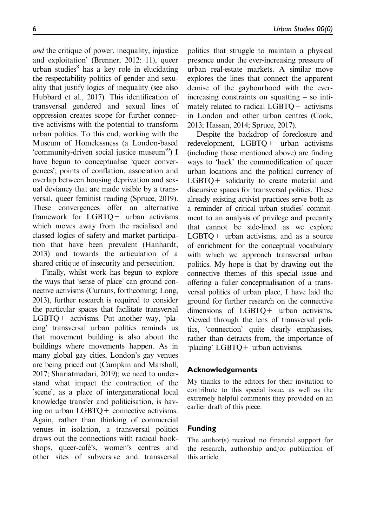and the critique of power, inequality, injustice and exploitation' (Brenner, 2012: 11), queer urban studies $8$  has a key role in elucidating the respectability politics of gender and sexuality that justify logics of inequality (see also Hubbard et al., 2017). This identification of transversal gendered and sexual lines of oppression creates scope for further connective activisms with the potential to transform urban politics. To this end, working with the Museum of Homelessness (a London-based 'community-driven social justice museum'<sup>9</sup>) I have begun to conceptualise 'queer convergences'; points of conflation, association and overlap between housing deprivation and sexual deviancy that are made visible by a transversal, queer feminist reading (Spruce, 2019). These convergences offer an alternative framework for LGBTQ+ urban activisms which moves away from the racialised and classed logics of safety and market participation that have been prevalent (Hanhardt, 2013) and towards the articulation of a shared critique of insecurity and persecution.

Finally, whilst work has begun to explore the ways that 'sense of place' can ground connective activisms (Currans, forthcoming; Long, 2013), further research is required to consider the particular spaces that facilitate transversal LGBTQ+ activisms. Put another way, 'placing' transversal urban politics reminds us that movement building is also about the buildings where movements happen. As in many global gay cities, London's gay venues are being priced out (Campkin and Marshall, 2017; Shariatmadari, 2019); we need to understand what impact the contraction of the 'scene', as a place of intergenerational local knowledge transfer and politicisation, is having on urban LGBTQ+ connective activisms. Again, rather than thinking of commercial venues in isolation, a transversal politics draws out the connections with radical bookshops, queer-café's, women's centres and other sites of subversive and transversal politics that struggle to maintain a physical presence under the ever-increasing pressure of urban real-estate markets. A similar move explores the lines that connect the apparent demise of the gaybourhood with the everincreasing constraints on squatting – so intimately related to radical  $LGBTO +$  activisms in London and other urban centres (Cook, 2013; Hassan, 2014; Spruce, 2017).

Despite the backdrop of foreclosure and redevelopment, LGBTQ+ urban activisms (including those mentioned above) are finding ways to 'hack' the commodification of queer urban locations and the political currency of LGBTQ+ solidarity to create material and discursive spaces for transversal politics. These already existing activist practices serve both as a reminder of critical urban studies' commitment to an analysis of privilege and precarity that cannot be side-lined as we explore  $LGBTQ$  + urban activisms, and as a source of enrichment for the conceptual vocabulary with which we approach transversal urban politics. My hope is that by drawing out the connective themes of this special issue and offering a fuller conceptualisation of a transversal politics of urban place, I have laid the ground for further research on the connective dimensions of LGBTQ+ urban activisms. Viewed through the lens of transversal politics, 'connection' quite clearly emphasises, rather than detracts from, the importance of 'placing' LGBTQ+ urban activisms.

## Acknowledgements

My thanks to the editors for their invitation to contribute to this special issue, as well as the extremely helpful comments they provided on an earlier draft of this piece.

#### Funding

The author(s) received no financial support for the research, authorship and/or publication of this article.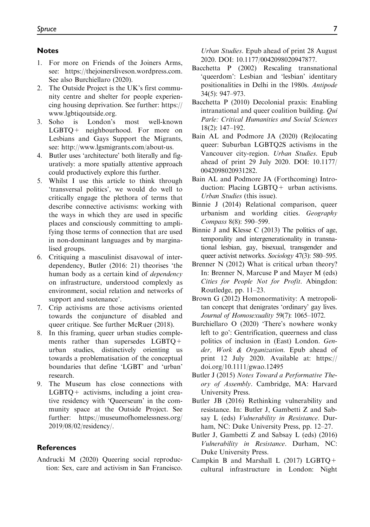#### **Notes**

- 1. For more on Friends of the Joiners Arms, see:<https://thejoinersliveson.wordpress.com>. See also Burchiellaro (2020).
- 2. The Outside Project is the UK's first community centre and shelter for people experiencing housing deprivation. See further: [https://](https://www.lgbtiqoutside.org) [www.lgbtiqoutside.org.](https://www.lgbtiqoutside.org)
- 3. Soho is London's most well-known LGBTQ+ neighbourhood. For more on Lesbians and Gays Support the Migrants, see:<http://www.lgsmigrants.com/about-us>.
- 4. Butler uses 'architecture' both literally and figuratively: a more spatially attentive approach could productively explore this further.
- 5. Whilst I use this article to think through 'transversal politics', we would do well to critically engage the plethora of terms that describe connective activisms: working with the ways in which they are used in specific places and consciously committing to amplifying those terms of connection that are used in non-dominant languages and by marginalised groups.
- 6. Critiquing a masculinist disavowal of interdependency, Butler (2016: 21) theorises 'the human body as a certain kind of dependency on infrastructure, understood complexly as environment, social relation and networks of support and sustenance'.
- 7. Crip activisms are those activisms oriented towards the conjuncture of disabled and queer critique. See further McRuer (2018).
- 8. In this framing, queer urban studies complements rather than supersedes LGBTQ+ urban studies, distinctively orienting us towards a problematisation of the conceptual boundaries that define 'LGBT' and 'urban' research.
- 9. The Museum has close connections with  $LGBTQ$  + activisms, including a joint creative residency with 'Queerseum' in the community space at the Outside Project. See further: [https://museumofhomelessness.org/](https://museumofhomelessness.org/2019/08/02/residency/) [2019/08/02/residency/](https://museumofhomelessness.org/2019/08/02/residency/).

#### **References**

Andrucki M (2020) Queering social reproduction: Sex, care and activism in San Francisco. Urban Studies. Epub ahead of print 28 August 2020. DOI: 10.1177/0042098020947877.

- Bacchetta P (2002) Rescaling transnational 'queerdom': Lesbian and 'lesbian' identitary positionalities in Delhi in the 1980s. Antipode 34(5): 947–973.
- Bacchetta P (2010) Decolonial praxis: Enabling intranational and queer coalition building.  $Oui$ Parle: Critical Humanities and Social Sciences 18(2): 147–192.
- Bain AL and Podmore JA (2020) (Re)locating queer: Suburban LGBTQ2S activisms in the Vancouver city-region. Urban Studies. Epub ahead of print 29 July 2020. DOI: 10.1177/ 0042098020931282.
- Bain AL and Podmore JA (Forthcoming) Introduction: Placing LGBTQ+ urban activisms. Urban Studies (this issue).
- Binnie J (2014) Relational comparison, queer urbanism and worlding cities. Geography Compass 8(8): 590–599.
- Binnie J and Klesse C (2013) The politics of age, temporality and intergenerationality in transnational lesbian, gay, bisexual, transgender and queer activist networks. Sociology 47(3): 580–595.
- Brenner N (2012) What is critical urban theory? In: Brenner N, Marcuse P and Mayer M (eds) Cities for People Not for Profit. Abingdon: Routledge, pp. 11–23.
- Brown G (2012) Homonormativity: A metropolitan concept that denigrates 'ordinary' gay lives. Journal of Homosexuality 59(7): 1065–1072.
- Burchiellaro O (2020) 'There's nowhere wonky left to go': Gentrification, queerness and class politics of inclusion in (East) London. Gender, Work & Organization. Epub ahead of print 12 July 2020. Available at: [https://](https://doi.org/10.1111/gwao.12495) [doi.org/10.1111/gwao.12495](https://doi.org/10.1111/gwao.12495)
- Butler J (2015) Notes Toward a Performative Theory of Assembly. Cambridge, MA: Harvard University Press.
- Butler JB (2016) Rethinking vulnerability and resistance. In: Butler J, Gambetti Z and Sabsay L (eds) Vulnerability in Resistance. Durham, NC: Duke University Press, pp. 12–27.
- Butler J, Gambetti Z and Sabsay L (eds) (2016) Vulnerability in Resistance. Durham, NC: Duke University Press.
- Campkin B and Marshall L  $(2017)$  LGBTQ + cultural infrastructure in London: Night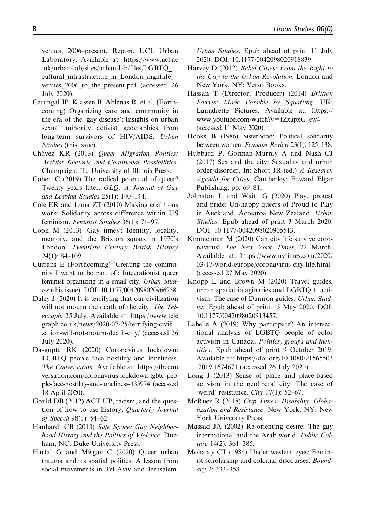venues, 2006–present. Report, UCL Urban Laboratory. Available at: [https://www.ucl.ac](https://www.ucl.ac.uk/urban-lab/sites/urban-lab/files/LGBTQ_cultural_infrastructure_in_London_nightlife_venues_2006_to_the_present.pdf) [.uk/urban-lab/sites/urban-lab/files/LGBTQ\\_](https://www.ucl.ac.uk/urban-lab/sites/urban-lab/files/LGBTQ_cultural_infrastructure_in_London_nightlife_venues_2006_to_the_present.pdf) cultural infrastructure in London nightlife [venues\\_2006\\_to\\_the\\_present.pdf](https://www.ucl.ac.uk/urban-lab/sites/urban-lab/files/LGBTQ_cultural_infrastructure_in_London_nightlife_venues_2006_to_the_present.pdf) (accessed 26 July 2020).

- Catungal JP, Klassen B, Ablenas R, et al. (Forthcoming) Organizing care and community in the era of the 'gay disease': Insights on urban sexual minority activist geographies from long-term survivors of HIV/AIDS. Urban Studies (this issue).
- Chávez KR (2013) Queer Migration Politics: Activist Rhetoric and Coalitional Possibilities. Champaign, IL: University of Illinois Press.
- Cohen C (2019) The radical potential of queer? Twenty years later. GLQ: A Journal of Gay and Lesbian Studies 25(1): 140–144.
- Cole ER and Luna ZT (2010) Making coalitions work: Solidarity across difference within US feminism. Feminist Studies 36(1): 71–97.
- Cook M (2013) 'Gay times': Identity, locality, memory, and the Brixton squats in 1970's London. Twentieth Century British History 24(1): 84–109.
- Currans E (Forthcoming) 'Creating the community I want to be part of': Integrationist queer feminist organizing in a small city. Urban Studies (this issue). DOI: 10.1177/0042098020966258.
- Daley J (2020) It is terrifying that our civilization will not mourn the death of the city. The Telegraph, 25 July. Available at: [https://www.tele](https://www.telegraph.co.uk/news/2020/07/25/terrifying-civilization-will-not-mourn-death-city/) [graph.co.uk/news/2020/07/25/terrifying-civili](https://www.telegraph.co.uk/news/2020/07/25/terrifying-civilization-will-not-mourn-death-city/) [zation-will-not-mourn-death-city/](https://www.telegraph.co.uk/news/2020/07/25/terrifying-civilization-will-not-mourn-death-city/) (accessed 26 July 2020).
- Dasgupta RK (2020) Coronavirus lockdown: LGBTQ people face hostility and loneliness. The Conversation. Available at: [https://thecon](https://theconversation.com/coronavirus-lockdown-lgbtq-people-face-hostility-and-loneliness-135974) [versation.com/coronavirus-lockdown-lgbtq-peo](https://theconversation.com/coronavirus-lockdown-lgbtq-people-face-hostility-and-loneliness-135974) [ple-face-hostility-and-loneliness-135974](https://theconversation.com/coronavirus-lockdown-lgbtq-people-face-hostility-and-loneliness-135974) (accessed 18 April 2020).
- Gould DB (2012) ACT UP, racism, and the question of how to use history. Quarterly Journal of Speech 98(1): 54–62.
- Hanhardt CB (2013) Safe Space: Gay Neighborhood History and the Politics of Violence. Durham, NC: Duke University Press.
- Hartal G and Misgav C (2020) Queer urban trauma and its spatial politics: A lesson from social movements in Tel Aviv and Jerusalem.

Urban Studies. Epub ahead of print 11 July 2020. DOI: 10.1177/0042098020918839.

- Harvey D (2012) Rebel Cities: From the Right to the City to the Urban Revolution. London and New York, NY: Verso Books.
- Hassan T (Director, Producer) (2014) Brixton Fairies: Made Possible by Squatting. UK: Laundrette Pictures. Available at: [https://](https://www.youtube.com/watch?v=fZxapxG_ew4) [www.youtube.com/watch?v=fZxapxG\\_ew4](https://www.youtube.com/watch?v=fZxapxG_ew4) (accessed 11 May 2020).
- Hooks B (1986) Sisterhood: Political solidarity between women. Feminist Review 23(1): 125–138.
- Hubbard P, Gorman-Murray A and Nash CJ (2017) Sex and the city: Sexuality and urban order/disorder. In: Short JR (ed.) A Research Agenda for Cities. Camberley: Edward Elgar Publishing, pp. 69–81.
- Johnston L and Waitt G (2020) Play, protest and pride: Un/happy queers of Proud to Play in Auckland, Aotearoa New Zealand. Urban Studies. Epub ahead of print 3 March 2020. DOI: 10.1177/0042098020905513.
- Kimmelman M (2020) Can city life survive coronavirus? The New York Times, 22 March. Available at: [https://www.nytimes.com/2020/](https://www.nytimes.com/2020/03/17/world/europe/coronavirus-city-life.html) [03/17/world/europe/coronavirus-city-life.html](https://www.nytimes.com/2020/03/17/world/europe/coronavirus-city-life.html) (accessed 27 May 2020).
- Knopp L and Brown M (2020) Travel guides, urban spatial imaginaries and LGBTQ+ activism: The case of Damron guides. Urban Studies. Epub ahead of print 15 May 2020. DOI: 10.1177/0042098020913457.
- Labelle A (2019) Why participate? An intersectional analysis of LGBTQ people of color activism in Canada. Politics, groups and identities. Epub ahead of print 9 October 2019. Available at: [https://doi.org/10.1080/21565503](https://doi.org/10.1080/21565503.2019.1674671) [.2019.1674671](https://doi.org/10.1080/21565503.2019.1674671) (accessed 26 July 2020).
- Long J (2013) Sense of place and place-based activism in the neoliberal city: The case of 'weird' resistance. City 17(1): 52–67.
- McRuer R (2018) Crip Times: Disability, Globalization and Resistance. New York, NY: New York University Press.
- Massad JA (2002) Re-orienting desire: The gay international and the Arab world. Public Culture 14(2): 361–385.
- Mohanty CT (1984) Under western eyes: Feminist scholarship and colonial discourses. Boundary 2: 333–358.